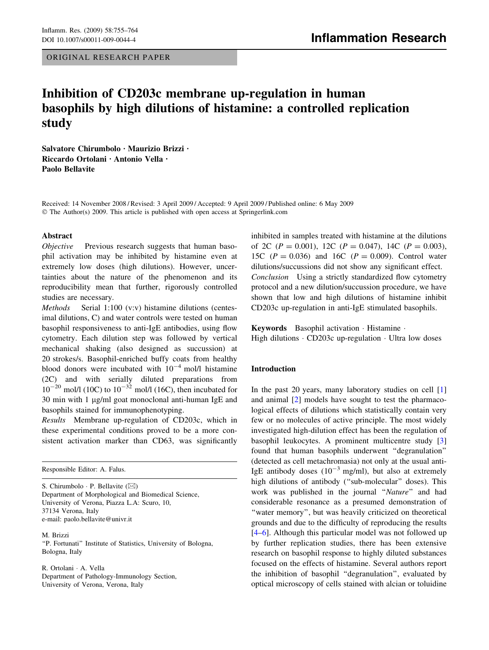ORIGINAL RESEARCH PAPER

# Inhibition of CD203c membrane up-regulation in human basophils by high dilutions of histamine: a controlled replication study

Salvatore Chirumbolo · Maurizio Brizzi · Riccardo Ortolani · Antonio Vella · Paolo Bellavite

Received: 14 November 2008 / Revised: 3 April 2009 / Accepted: 9 April 2009 / Published online: 6 May 2009  $\odot$  The Author(s) 2009. This article is published with open access at Springerlink.com

#### Abstract

Objective Previous research suggests that human basophil activation may be inhibited by histamine even at extremely low doses (high dilutions). However, uncertainties about the nature of the phenomenon and its reproducibility mean that further, rigorously controlled studies are necessary.

Methods Serial 1:100 (v:v) histamine dilutions (centesimal dilutions, C) and water controls were tested on human basophil responsiveness to anti-IgE antibodies, using flow cytometry. Each dilution step was followed by vertical mechanical shaking (also designed as succussion) at 20 strokes/s. Basophil-enriched buffy coats from healthy blood donors were incubated with  $10^{-4}$  mol/l histamine (2C) and with serially diluted preparations from  $10^{-20}$  mol/l (10C) to  $10^{-32}$  mol/l (16C), then incubated for 30 min with 1  $\mu$ g/ml goat monoclonal anti-human IgE and basophils stained for immunophenotyping.

Results Membrane up-regulation of CD203c, which in these experimental conditions proved to be a more consistent activation marker than CD63, was significantly

Responsible Editor: A. Falus.

S. Chirumbolo  $\cdot$  P. Bellavite ( $\boxtimes$ ) Department of Morphological and Biomedical Science, University of Verona, Piazza L.A: Scuro, 10, 37134 Verona, Italy e-mail: paolo.bellavite@univr.it

M. Brizzi ''P. Fortunati'' Institute of Statistics, University of Bologna, Bologna, Italy

R. Ortolani · A. Vella Department of Pathology-Immunology Section, University of Verona, Verona, Italy

inhibited in samples treated with histamine at the dilutions of 2C ( $P = 0.001$ ), 12C ( $P = 0.047$ ), 14C ( $P = 0.003$ ), 15C  $(P = 0.036)$  and 16C  $(P = 0.009)$ . Control water dilutions/succussions did not show any significant effect. Conclusion Using a strictly standardized flow cytometry protocol and a new dilution/succussion procedure, we have shown that low and high dilutions of histamine inhibit CD203c up-regulation in anti-IgE stimulated basophils.

Keywords Basophil activation · Histamine · High dilutions  $\cdot$  CD203c up-regulation  $\cdot$  Ultra low doses

## Introduction

In the past 20 years, many laboratory studies on cell [[1\]](#page-8-0) and animal [[2\]](#page-8-0) models have sought to test the pharmacological effects of dilutions which statistically contain very few or no molecules of active principle. The most widely investigated high-dilution effect has been the regulation of basophil leukocytes. A prominent multicentre study [[3\]](#page-8-0) found that human basophils underwent ''degranulation'' (detected as cell metachromasia) not only at the usual anti-IgE antibody doses  $(10^{-3} \text{ mg/ml})$ , but also at extremely high dilutions of antibody ("sub-molecular" doses). This work was published in the journal "Nature" and had considerable resonance as a presumed demonstration of "water memory", but was heavily criticized on theoretical grounds and due to the difficulty of reproducing the results [\[4–6](#page-8-0)]. Although this particular model was not followed up by further replication studies, there has been extensive research on basophil response to highly diluted substances focused on the effects of histamine. Several authors report the inhibition of basophil ''degranulation'', evaluated by optical microscopy of cells stained with alcian or toluidine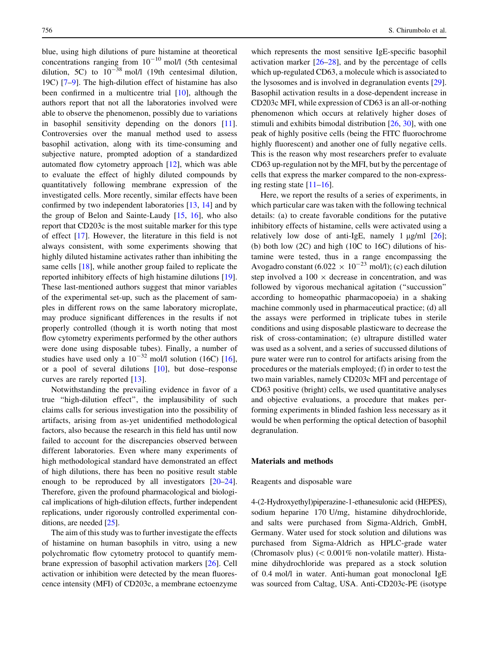blue, using high dilutions of pure histamine at theoretical concentrations ranging from  $10^{-10}$  mol/l (5th centesimal dilution, 5C) to  $10^{-38}$  mol/l (19th centesimal dilution, 19C) [[7–9\]](#page-8-0). The high-dilution effect of histamine has also been confirmed in a multicentre trial [[10](#page-8-0)], although the authors report that not all the laboratories involved were able to observe the phenomenon, possibly due to variations in basophil sensitivity depending on the donors [\[11](#page-8-0)]. Controversies over the manual method used to assess basophil activation, along with its time-consuming and subjective nature, prompted adoption of a standardized automated flow cytometry approach [[12\]](#page-8-0), which was able to evaluate the effect of highly diluted compounds by quantitatively following membrane expression of the investigated cells. More recently, similar effects have been confirmed by two independent laboratories [\[13](#page-8-0), [14\]](#page-8-0) and by the group of Belon and Sainte-Laudy [\[15](#page-8-0), [16\]](#page-8-0), who also report that CD203c is the most suitable marker for this type of effect [[17\]](#page-8-0). However, the literature in this field is not always consistent, with some experiments showing that highly diluted histamine activates rather than inhibiting the same cells [\[18](#page-8-0)], while another group failed to replicate the reported inhibitory effects of high histamine dilutions [\[19](#page-8-0)]. These last-mentioned authors suggest that minor variables of the experimental set-up, such as the placement of samples in different rows on the same laboratory microplate, may produce significant differences in the results if not properly controlled (though it is worth noting that most flow cytometry experiments performed by the other authors were done using disposable tubes). Finally, a number of studies have used only a  $10^{-32}$  mol/l solution (16C) [\[16](#page-8-0)], or a pool of several dilutions [[10\]](#page-8-0), but dose–response curves are rarely reported [[13\]](#page-8-0).

Notwithstanding the prevailing evidence in favor of a true ''high-dilution effect'', the implausibility of such claims calls for serious investigation into the possibility of artifacts, arising from as-yet unidentified methodological factors, also because the research in this field has until now failed to account for the discrepancies observed between different laboratories. Even where many experiments of high methodological standard have demonstrated an effect of high dilutions, there has been no positive result stable enough to be reproduced by all investigators [\[20–24](#page-8-0)]. Therefore, given the profound pharmacological and biological implications of high-dilution effects, further independent replications, under rigorously controlled experimental conditions, are needed [\[25](#page-8-0)].

The aim of this study was to further investigate the effects of histamine on human basophils in vitro, using a new polychromatic flow cytometry protocol to quantify membrane expression of basophil activation markers [\[26](#page-8-0)]. Cell activation or inhibition were detected by the mean fluorescence intensity (MFI) of CD203c, a membrane ectoenzyme

which represents the most sensitive IgE-specific basophil activation marker  $[26-28]$  $[26-28]$ , and by the percentage of cells which up-regulated CD63, a molecule which is associated to the lysosomes and is involved in degranulation events [\[29](#page-9-0)]. Basophil activation results in a dose-dependent increase in CD203c MFI, while expression of CD63 is an all-or-nothing phenomenon which occurs at relatively higher doses of stimuli and exhibits bimodal distribution [[26,](#page-8-0) [30\]](#page-9-0), with one peak of highly positive cells (being the FITC fluorochrome highly fluorescent) and another one of fully negative cells. This is the reason why most researchers prefer to evaluate CD63 up-regulation not by the MFI, but by the percentage of cells that express the marker compared to the non-expressing resting state  $[11-16]$ .

Here, we report the results of a series of experiments, in which particular care was taken with the following technical details: (a) to create favorable conditions for the putative inhibitory effects of histamine, cells were activated using a relatively low dose of anti-IgE, namely 1  $\mu$ g/ml  $[26]$  $[26]$ ; (b) both low (2C) and high (10C to 16C) dilutions of histamine were tested, thus in a range encompassing the Avogadro constant  $(6.022 \times 10^{-23} \text{ mol/l})$ ; (c) each dilution step involved a  $100 \times$  decrease in concentration, and was followed by vigorous mechanical agitation (''succussion'' according to homeopathic pharmacopoeia) in a shaking machine commonly used in pharmaceutical practice; (d) all the assays were performed in triplicate tubes in sterile conditions and using disposable plasticware to decrease the risk of cross-contamination; (e) ultrapure distilled water was used as a solvent, and a series of succussed dilutions of pure water were run to control for artifacts arising from the procedures or the materials employed; (f) in order to test the two main variables, namely CD203c MFI and percentage of CD63 positive (bright) cells, we used quantitative analyses and objective evaluations, a procedure that makes performing experiments in blinded fashion less necessary as it would be when performing the optical detection of basophil degranulation.

## Materials and methods

#### Reagents and disposable ware

4-(2-Hydroxyethyl)piperazine-1-ethanesulonic acid (HEPES), sodium heparine 170 U/mg, histamine dihydrochloride, and salts were purchased from Sigma-Aldrich, GmbH, Germany. Water used for stock solution and dilutions was purchased from Sigma-Aldrich as HPLC-grade water (Chromasolv plus)  $(< 0.001\%$  non-volatile matter). Histamine dihydrochloride was prepared as a stock solution of 0.4 mol/l in water. Anti-human goat monoclonal IgE was sourced from Caltag, USA. Anti-CD203c-PE (isotype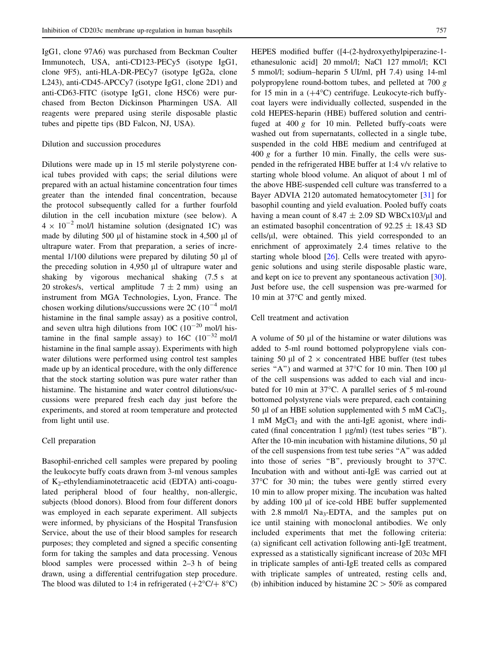IgG1, clone 97A6) was purchased from Beckman Coulter Immunotech, USA, anti-CD123-PECy5 (isotype IgG1, clone 9F5), anti-HLA-DR-PECy7 (isotype IgG2a, clone L243), anti-CD45-APCCy7 (isotype IgG1, clone 2D1) and anti-CD63-FITC (isotype IgG1, clone H5C6) were purchased from Becton Dickinson Pharmingen USA. All reagents were prepared using sterile disposable plastic tubes and pipette tips (BD Falcon, NJ, USA).

## Dilution and succussion procedures

Dilutions were made up in 15 ml sterile polystyrene conical tubes provided with caps; the serial dilutions were prepared with an actual histamine concentration four times greater than the intended final concentration, because the protocol subsequently called for a further fourfold dilution in the cell incubation mixture (see below). A  $4 \times 10^{-2}$  mol/l histamine solution (designated 1C) was made by diluting 500 ul of histamine stock in 4,500 ul of ultrapure water. From that preparation, a series of incremental  $1/100$  dilutions were prepared by diluting 50  $\mu$ l of the preceding solution in  $4,950$   $\mu$ l of ultrapure water and shaking by vigorous mechanical shaking (7.5 s at 20 strokes/s, vertical amplitude  $7 \pm 2$  mm) using an instrument from MGA Technologies, Lyon, France. The chosen working dilutions/succussions were  $2C (10^{-4} \text{ mol/l})$ histamine in the final sample assay) as a positive control, and seven ultra high dilutions from  $10C$  ( $10^{-20}$  mol/l histamine in the final sample assay) to  $16C (10^{-32} \text{ mol/l})$ histamine in the final sample assay). Experiments with high water dilutions were performed using control test samples made up by an identical procedure, with the only difference that the stock starting solution was pure water rather than histamine. The histamine and water control dilutions/succussions were prepared fresh each day just before the experiments, and stored at room temperature and protected from light until use.

#### Cell preparation

Basophil-enriched cell samples were prepared by pooling the leukocyte buffy coats drawn from 3-ml venous samples of K2-ethylendiaminotetraacetic acid (EDTA) anti-coagulated peripheral blood of four healthy, non-allergic, subjects (blood donors). Blood from four different donors was employed in each separate experiment. All subjects were informed, by physicians of the Hospital Transfusion Service, about the use of their blood samples for research purposes; they completed and signed a specific consenting form for taking the samples and data processing. Venous blood samples were processed within 2–3 h of being drawn, using a differential centrifugation step procedure. The blood was diluted to 1:4 in refrigerated  $(+2^{\circ}C/+8^{\circ}C)$ 

HEPES modified buffer ([4-(2-hydroxyethylpiperazine-1 ethanesulonic acid] 20 mmol/l; NaCl 127 mmol/l; KCl 5 mmol/l; sodium–heparin 5 UI/ml, pH 7.4) using 14-ml polypropylene round-bottom tubes, and pelleted at 700 g for 15 min in a  $(+4^{\circ}C)$  centrifuge. Leukocyte-rich buffycoat layers were individually collected, suspended in the cold HEPES-heparin (HBE) buffered solution and centrifuged at  $400 g$  for 10 min. Pelleted buffy-coats were washed out from supernatants, collected in a single tube, suspended in the cold HBE medium and centrifuged at 400 g for a further 10 min. Finally, the cells were suspended in the refrigerated HBE buffer at 1:4 v/v relative to starting whole blood volume. An aliquot of about 1 ml of the above HBE-suspended cell culture was transferred to a Bayer ADVIA 2120 automated hematocytometer [[31\]](#page-9-0) for basophil counting and yield evaluation. Pooled buffy coats having a mean count of 8.47  $\pm$  2.09 SD WBCx103/ $\mu$ l and an estimated basophil concentration of  $92.25 \pm 18.43$  SD cells/ $\mu$ l, were obtained. This yield corresponded to an enrichment of approximately 2.4 times relative to the starting whole blood [\[26](#page-8-0)]. Cells were treated with apyrogenic solutions and using sterile disposable plastic ware, and kept on ice to prevent any spontaneous activation [\[30](#page-9-0)]. Just before use, the cell suspension was pre-warmed for 10 min at 37°C and gently mixed.

## Cell treatment and activation

A volume of 50 µl of the histamine or water dilutions was added to 5-ml round bottomed polypropylene vials containing 50  $\mu$ l of 2  $\times$  concentrated HBE buffer (test tubes series "A") and warmed at  $37^{\circ}$ C for 10 min. Then 100 µl of the cell suspensions was added to each vial and incubated for 10 min at 37°C. A parallel series of 5 ml-round bottomed polystyrene vials were prepared, each containing 50 µl of an HBE solution supplemented with 5 mM  $CaCl<sub>2</sub>$ , 1 mM  $MgCl<sub>2</sub>$  and with the anti-IgE agonist, where indicated (final concentration  $1 \mu g/ml$ ) (test tubes series "B"). After the 10-min incubation with histamine dilutions, 50  $\mu$ l of the cell suspensions from test tube series ''A'' was added into those of series "B", previously brought to  $37^{\circ}$ C. Incubation with and without anti-IgE was carried out at 37°C for 30 min; the tubes were gently stirred every 10 min to allow proper mixing. The incubation was halted by adding 100 µl of ice-cold HBE buffer supplemented with  $2.8 \text{ mmol/l}$  Na<sub>3</sub>-EDTA, and the samples put on ice until staining with monoclonal antibodies. We only included experiments that met the following criteria: (a) significant cell activation following anti-IgE treatment, expressed as a statistically significant increase of 203c MFI in triplicate samples of anti-IgE treated cells as compared with triplicate samples of untreated, resting cells and, (b) inhibition induced by histamine  $2C > 50\%$  as compared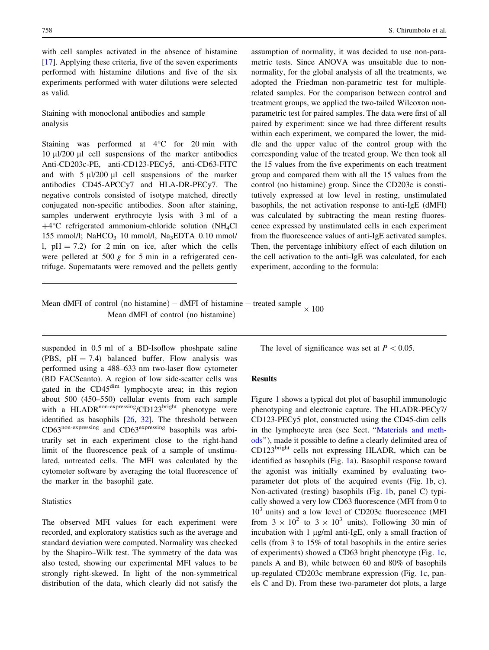with cell samples activated in the absence of histamine [\[17](#page-8-0)]. Applying these criteria, five of the seven experiments performed with histamine dilutions and five of the six experiments performed with water dilutions were selected as valid.

Staining with monoclonal antibodies and sample analysis

Staining was performed at  $4^{\circ}$ C for 20 min with 10 ul/200 ul cell suspensions of the marker antibodies Anti-CD203c-PE, anti-CD123-PECy5, anti-CD63-FITC and with  $5 \mu$ l/200  $\mu$ l cell suspensions of the marker antibodies CD45-APCCy7 and HLA-DR-PECy7. The negative controls consisted of isotype matched, directly conjugated non-specific antibodies. Soon after staining, samples underwent erythrocyte lysis with 3 ml of a  $+4$ <sup>o</sup>C refrigerated ammonium-chloride solution (NH<sub>4</sub>Cl 155 mmol/l; NaHCO<sub>3</sub> 10 mmol/l, Na<sub>3</sub>EDTA 0.10 mmol/ l,  $pH = 7.2$ ) for 2 min on ice, after which the cells were pelleted at 500 g for 5 min in a refrigerated centrifuge. Supernatants were removed and the pellets gently

assumption of normality, it was decided to use non-parametric tests. Since ANOVA was unsuitable due to nonnormality, for the global analysis of all the treatments, we adopted the Friedman non-parametric test for multiplerelated samples. For the comparison between control and treatment groups, we applied the two-tailed Wilcoxon nonparametric test for paired samples. The data were first of all paired by experiment: since we had three different results within each experiment, we compared the lower, the middle and the upper value of the control group with the corresponding value of the treated group. We then took all the 15 values from the five experiments on each treatment group and compared them with all the 15 values from the control (no histamine) group. Since the CD203c is constitutively expressed at low level in resting, unstimulated basophils, the net activation response to anti-IgE (dMFI) was calculated by subtracting the mean resting fluorescence expressed by unstimulated cells in each experiment from the fluorescence values of anti-IgE activated samples. Then, the percentage inhibitory effect of each dilution on the cell activation to the anti-IgE was calculated, for each experiment, according to the formula:

| Mean dMFI of control (no histamine) – dMFI of histamine – treated sample $\times 100$ |                                     |  |  |
|---------------------------------------------------------------------------------------|-------------------------------------|--|--|
|                                                                                       | Mean dMFI of control (no histamine) |  |  |

suspended in 0.5 ml of a BD-Isoflow phoshpate saline (PBS,  $pH = 7.4$ ) balanced buffer. Flow analysis was performed using a 488–633 nm two-laser flow cytometer (BD FACScanto). A region of low side-scatter cells was gated in the CD45<sup>dim</sup> lymphocyte area; in this region about 500 (450–550) cellular events from each sample with a HLADR<sup>non-expressing</sup>/CD123<sup>bright</sup> phenotype were identified as basophils [[26,](#page-8-0) [32\]](#page-9-0). The threshold between CD63<sup>non-expressing</sup> and CD63<sup>expressing</sup> basophils was arbitrarily set in each experiment close to the right-hand limit of the fluorescence peak of a sample of unstimulated, untreated cells. The MFI was calculated by the cytometer software by averaging the total fluorescence of the marker in the basophil gate.

#### **Statistics**

The observed MFI values for each experiment were recorded, and exploratory statistics such as the average and standard deviation were computed. Normality was checked by the Shapiro–Wilk test. The symmetry of the data was also tested, showing our experimental MFI values to be strongly right-skewed. In light of the non-symmetrical distribution of the data, which clearly did not satisfy the The level of significance was set at  $P < 0.05$ .

#### Results

Figure [1](#page-4-0) shows a typical dot plot of basophil immunologic phenotyping and electronic capture. The HLADR-PECy7/ CD123-PECy5 plot, constructed using the CD45-dim cells in the lymphocyte area (see Sect. ''[Materials and meth](#page-8-0)[ods'](#page-8-0)'), made it possible to define a clearly delimited area of CD123bright cells not expressing HLADR, which can be identified as basophils (Fig. [1a](#page-4-0)). Basophil response toward the agonist was initially examined by evaluating twoparameter dot plots of the acquired events (Fig. [1](#page-4-0)b, c). Non-activated (resting) basophils (Fig. [1](#page-4-0)b, panel C) typically showed a very low CD63 fluorescence (MFI from 0 to  $10<sup>3</sup>$  units) and a low level of CD203c fluorescence (MFI from  $3 \times 10^2$  to  $3 \times 10^3$  units). Following 30 min of incubation with  $1 \mu g/ml$  anti-IgE, only a small fraction of cells (from 3 to 15% of total basophils in the entire series of experiments) showed a CD63 bright phenotype (Fig. [1](#page-4-0)c, panels A and B), while between 60 and 80% of basophils up-regulated CD203c membrane expression (Fig. [1](#page-4-0)c, panels C and D). From these two-parameter dot plots, a large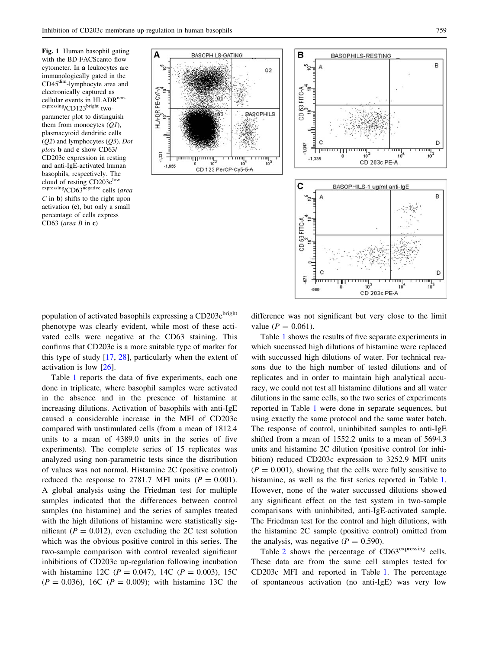<span id="page-4-0"></span>Fig. 1 Human basophil gating with the BD-FACScanto flow cytometer. In a leukocytes are immunologically gated in the CD45dim-lymphocyte area and electronically captured as cellular events in HLADR<sup>non-</sup> expressing/CD123bright twoparameter plot to distinguish them from monocytes  $(QI)$ , plasmacytoid dendritic cells  $(O2)$  and lymphocytes  $(O3)$ . Dot plots b and c show CD63/ CD203c expression in resting and anti-IgE-activated human basophils, respectively. The cloud of resting  $CD203c^{\text{low}}$ expressing/CD63<sup>negative</sup> cells (area  $C$  in  $\bf{b}$ ) shifts to the right upon activation (c), but only a small percentage of cells express CD63 (area B in c)





population of activated basophils expressing a CD203c<sup>bright</sup> phenotype was clearly evident, while most of these activated cells were negative at the CD63 staining. This confirms that CD203c is a more suitable type of marker for this type of study  $[17, 28]$  $[17, 28]$  $[17, 28]$  $[17, 28]$  $[17, 28]$ , particularly when the extent of activation is low [[26\]](#page-8-0).

Table [1](#page-5-0) reports the data of five experiments, each one done in triplicate, where basophil samples were activated in the absence and in the presence of histamine at increasing dilutions. Activation of basophils with anti-IgE caused a considerable increase in the MFI of CD203c compared with unstimulated cells (from a mean of 1812.4 units to a mean of 4389.0 units in the series of five experiments). The complete series of 15 replicates was analyzed using non-parametric tests since the distribution of values was not normal. Histamine 2C (positive control) reduced the response to 2781.7 MFI units ( $P = 0.001$ ). A global analysis using the Friedman test for multiple samples indicated that the differences between control samples (no histamine) and the series of samples treated with the high dilutions of histamine were statistically significant ( $P = 0.012$ ), even excluding the 2C test solution which was the obvious positive control in this series. The two-sample comparison with control revealed significant inhibitions of CD203c up-regulation following incubation with histamine 12C ( $P = 0.047$ ), 14C ( $P = 0.003$ ), 15C  $(P = 0.036)$ , 16C  $(P = 0.009)$ ; with histamine 13C the difference was not significant but very close to the limit value ( $P = 0.061$ ).

Table [1](#page-5-0) shows the results of five separate experiments in which succussed high dilutions of histamine were replaced with succussed high dilutions of water. For technical reasons due to the high number of tested dilutions and of replicates and in order to maintain high analytical accuracy, we could not test all histamine dilutions and all water dilutions in the same cells, so the two series of experiments reported in Table [1](#page-5-0) were done in separate sequences, but using exactly the same protocol and the same water batch. The response of control, uninhibited samples to anti-IgE shifted from a mean of 1552.2 units to a mean of 5694.3 units and histamine 2C dilution (positive control for inhibition) reduced CD203c expression to 3252.9 MFI units  $(P = 0.001)$ , showing that the cells were fully sensitive to histamine, as well as the first series reported in Table [1.](#page-5-0) However, none of the water succussed dilutions showed any significant effect on the test system in two-sample comparisons with uninhibited, anti-IgE-activated sample. The Friedman test for the control and high dilutions, with the histamine 2C sample (positive control) omitted from the analysis, was negative  $(P = 0.590)$ .

Table [2](#page-5-0) shows the percentage of CD63<sup>expressing</sup> cells. These data are from the same cell samples tested for CD203c MFI and reported in Table [1.](#page-5-0) The percentage of spontaneous activation (no anti-IgE) was very low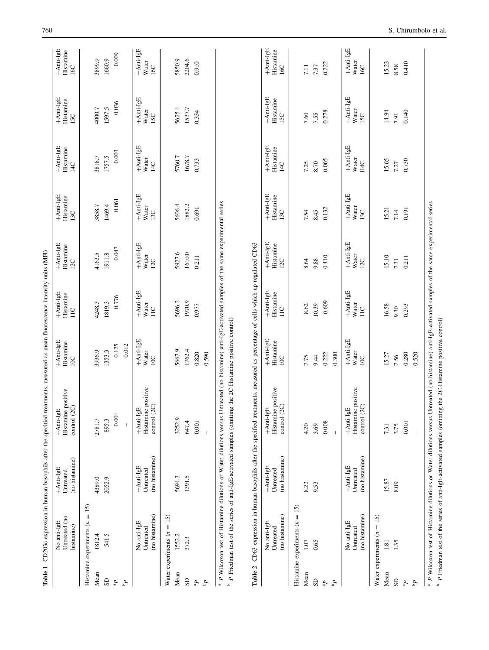| Mean<br>SD                      | Untreated (no<br>No anti-IgE<br>histamine) | $+$ Anti-IgE<br>Untreated                | $+$ Anti-IgE                                                                                                                       | $+$ Anti-IgE<br>Histamine        | $+$ Anti-IgE<br>Histamine                    | $+$ Anti-IgE<br>Histanine        | $+$ Anti-IgE                     | +Anti-IgE                               | $+$ Anti-IgE                            | $+$ Anti-IgE                     |
|---------------------------------|--------------------------------------------|------------------------------------------|------------------------------------------------------------------------------------------------------------------------------------|----------------------------------|----------------------------------------------|----------------------------------|----------------------------------|-----------------------------------------|-----------------------------------------|----------------------------------|
|                                 |                                            | (no histamine)                           | Histamine positive<br>control (2C)                                                                                                 | 10C                              | 11C                                          | 12C                              | Histamine<br>13C                 | Histamine<br>14C                        | Histamine<br>15C                        | Histamine<br>16C                 |
|                                 | $= 15$<br>Histamine experiments $(n$       |                                          |                                                                                                                                    |                                  |                                              |                                  |                                  |                                         |                                         |                                  |
|                                 | 1812.4                                     | 4389.0                                   | 2781.7                                                                                                                             | 3936.9                           | 4248.3                                       | 4163.5                           | 3858.7                           | 3818.7                                  | 4000.7                                  | 3899.9                           |
|                                 | 541.5                                      | 2052.9                                   | 895.3                                                                                                                              | 1353.3                           | 1819.3                                       | 1911.8                           | 1469.4                           | 1757.5                                  | 1597.5                                  | 1660.9                           |
| $\mathbf{q}^a$                  |                                            |                                          | $0.001\,$                                                                                                                          | 0.125                            | 0.776                                        | 0.047                            | 0.061                            | 0.003                                   | 0.036                                   | 0.009                            |
| $\mathbf{q}_\mathrm{d}$         |                                            |                                          |                                                                                                                                    | 0.012                            |                                              |                                  |                                  |                                         |                                         |                                  |
|                                 | No anti-IgE                                | $+$ Anti-IgE                             | $+$ Anti-IgE                                                                                                                       | $+$ Anti-IgE                     | $+$ Anti-IgE                                 | $+$ Anti-IgE                     | $+$ Anti-IgE                     | +Anti-IgE                               | +Anti-IgE                               | +Anti-IgE                        |
|                                 | (no histamine)<br>Untreated                | (no histamine)<br>Untreated              | Histamine positive<br>control (2C)                                                                                                 | Water<br>$\overline{10}$         | Water<br>$\sum_{i=1}^{n}$                    | Water<br>12C                     | Water<br>13C                     | Water<br>$\frac{1}{4}$                  | Water<br>15C                            | Water<br>16C                     |
| Water experiments $(n$          | $= 15$                                     |                                          |                                                                                                                                    |                                  |                                              |                                  |                                  |                                         |                                         |                                  |
| Mean                            | 1552.2                                     | 5694.3                                   | 3252.9                                                                                                                             | 5667.9                           | 5696.2                                       | 5927.6                           | 5606.4                           | 5760.7                                  | 5625.4                                  | 5850.9                           |
| SD <sub>1</sub>                 | 372.3                                      | 1391.5                                   | 647.4                                                                                                                              | 1762.4                           | 1970.9                                       | 1610.0                           | 1882.2                           | 1678.7                                  | 1537.7                                  | 2204.6                           |
| $\mathbf{d}_{\textrm{\tiny B}}$ |                                            |                                          | $0.001$                                                                                                                            | 0.820                            | 0.977                                        | 0.211                            | 0.691                            | 0.733                                   | 0.334                                   | 0.910                            |
| $\mathbf{q}_d$                  |                                            |                                          |                                                                                                                                    | 0.590                            |                                              |                                  |                                  |                                         |                                         |                                  |
|                                 |                                            |                                          | Table 2 CD63 expression in human basophils after the specified treatments, measured as percentage of cells which up-regulated CD63 |                                  |                                              |                                  |                                  |                                         |                                         |                                  |
|                                 | (no histamine)<br>No anti-IgE<br>Untreated | (no histamine)<br>+Anti-IgE<br>Untreated | Histamine positive<br>control (2C)<br>$+$ Anti-IgE                                                                                 | $+$ Anti-IgE<br>Histamine<br>10C | $+$ Anti-IgE<br>Histamine<br>$\overline{11}$ | $+$ Anti-IgE<br>Histamine<br>12C | $+$ Anti-IgE<br>Histamine<br>13C | +Anti-IgE<br>Histamine<br>$\frac{1}{4}$ | $+$ Anti-IgE<br>Histamine<br><b>ISC</b> | $+$ Anti-IgE<br>Histamine<br>16C |
|                                 | Histamine experiments $(n = 15)$           |                                          |                                                                                                                                    |                                  |                                              |                                  |                                  |                                         |                                         |                                  |
| Mean                            | 1.07                                       | 8.22                                     | 4.20                                                                                                                               | 7.75                             | 8.62                                         | 8.64                             | 7.54                             | 7.25                                    | 7.60                                    | 7.11                             |
| SD                              | 0.65                                       | 9.53                                     | 3.69                                                                                                                               | 9.44                             | 10.39                                        | 9.88                             | 8.45                             | 8.70                                    | 7.55                                    | 7.37                             |
| $\mathbf{q}_{\text{B}}$         |                                            |                                          | $0.008$                                                                                                                            | 0.222                            | 0.609                                        | 0.410                            | 0.132                            | 0.065                                   | 0.278                                   | 0.222                            |
| $\mathbf{d}_{\mathbf{q}}$       |                                            |                                          |                                                                                                                                    | 0.300                            |                                              |                                  |                                  |                                         |                                         |                                  |
|                                 | No anti-IgE                                | $+$ Anti-IgE                             | $+$ Anti-IgE                                                                                                                       | $+$ Anti-IgE                     | $+$ Anti-IgE                                 | +Anti-IgE                        | $+$ Anti-IgE                     | $+$ Anti-IgE                            | +Anti-IgE                               | $+$ Anti-IgE                     |
|                                 | (no histamine)<br>Untreated                | (no histamine)<br>Untreated              | Histamine positive<br>control (2C)                                                                                                 | Water<br>10C                     | Water<br>$\overline{11}$                     | Water<br>12C                     | Water<br>13C                     | Water<br>14C                            | Water<br>15C                            | Water<br>16C                     |
| Water experiments (n            | $= 15$                                     |                                          |                                                                                                                                    |                                  |                                              |                                  |                                  |                                         |                                         |                                  |
| Mean                            | 1.81                                       | 15.87                                    | 7.31                                                                                                                               | 15.27                            | 16.58                                        | 15.10                            | 15.21                            | 15.65                                   | 14.94                                   | 15.23                            |
| <b>GS</b>                       | 1.35                                       | 8.09                                     | 3.75                                                                                                                               | 7.56                             | 9.30                                         | 7.31                             | 7.14                             | 7.27                                    | 7.91                                    | 8.58                             |
| q,                              |                                            |                                          | 0.001                                                                                                                              | 0.280                            | 0.293                                        | 0.211                            | 0.191                            | 0.730                                   | 0.140                                   | 0.410                            |
| $\mathbf{f}_\mathrm{d}$         |                                            |                                          |                                                                                                                                    | 0.520                            |                                              |                                  |                                  |                                         |                                         |                                  |

<span id="page-5-0"></span>

P Friedman test of the series of anti-IgE-activated samples (omitting the 2C Histamine positive control)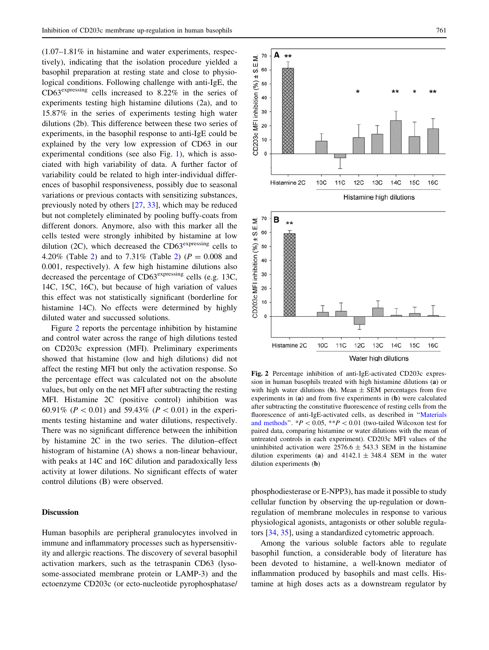$(1.07-1.81\%$  in histamine and water experiments, respectively), indicating that the isolation procedure yielded a basophil preparation at resting state and close to physiological conditions. Following challenge with anti-IgE, the CD63expressing cells increased to 8.22% in the series of experiments testing high histamine dilutions (2a), and to 15.87% in the series of experiments testing high water dilutions (2b). This difference between these two series of experiments, in the basophil response to anti-IgE could be explained by the very low expression of CD63 in our experimental conditions (see also Fig. [1\)](#page-4-0), which is associated with high variability of data. A further factor of variability could be related to high inter-individual differences of basophil responsiveness, possibly due to seasonal variations or previous contacts with sensitizing substances, previously noted by others [\[27](#page-9-0), [33](#page-9-0)], which may be reduced but not completely eliminated by pooling buffy-coats from different donors. Anymore, also with this marker all the cells tested were strongly inhibited by histamine at low dilution (2C), which decreased the  $CD63<sup>expressing</sup>$  cells to 4.[2](#page-5-0)0% (Table 2) and to 7.31% (Table 2) ( $P = 0.008$  and 0.001, respectively). A few high histamine dilutions also decreased the percentage of  $CD63<sup>expressing</sup>$  cells (e.g. 13C, 14C, 15C, 16C), but because of high variation of values this effect was not statistically significant (borderline for histamine 14C). No effects were determined by highly diluted water and succussed solutions.

Figure 2 reports the percentage inhibition by histamine and control water across the range of high dilutions tested on CD203c expression (MFI). Preliminary experiments showed that histamine (low and high dilutions) did not affect the resting MFI but only the activation response. So the percentage effect was calculated not on the absolute values, but only on the net MFI after subtracting the resting MFI. Histamine 2C (positive control) inhibition was 60.91% ( $P < 0.01$ ) and 59.43% ( $P < 0.01$ ) in the experiments testing histamine and water dilutions, respectively. There was no significant difference between the inhibition by histamine 2C in the two series. The dilution–effect histogram of histamine (A) shows a non-linear behaviour, with peaks at 14C and 16C dilution and paradoxically less activity at lower dilutions. No significant effects of water control dilutions (B) were observed.

## Discussion

Human basophils are peripheral granulocytes involved in immune and inflammatory processes such as hypersensitivity and allergic reactions. The discovery of several basophil activation markers, such as the tetraspanin CD63 (lysosome-associated membrane protein or LAMP-3) and the ectoenzyme CD203c (or ecto-nucleotide pyrophosphatase/



Histamine 2C **10C** 11C  $12C$ 13C 14C **15C 16C** Water high dilutions Fig. 2 Percentage inhibition of anti-IgE-activated CD203c expres-

20  $10$  $\mathfrak{o}$ 

sion in human basophils treated with high histamine dilutions (a) or with high water dilutions (b). Mean  $\pm$  SEM percentages from five experiments in (a) and from five experiments in (b) were calculated after subtracting the constitutive fluorescence of resting cells from the fluorescence of anti-IgE-activated cells, as described in '['Materials](#page-8-0) [and methods](#page-8-0)".  $*P < 0.05$ ,  $*P < 0.01$  (two-tailed Wilcoxon test for paired data, comparing histamine or water dilutions with the mean of untreated controls in each experiment). CD203c MFI values of the uninhibited activation were  $2576.6 \pm 543.3$  SEM in the histamine dilution experiments (a) and  $4142.1 \pm 348.4$  SEM in the water dilution experiments (b)

phosphodiesterase or E-NPP3), has made it possible to study cellular function by observing the up-regulation or downregulation of membrane molecules in response to various physiological agonists, antagonists or other soluble regulators [[34,](#page-9-0) [35\]](#page-9-0), using a standardized cytometric approach.

Among the various soluble factors able to regulate basophil function, a considerable body of literature has been devoted to histamine, a well-known mediator of inflammation produced by basophils and mast cells. Histamine at high doses acts as a downstream regulator by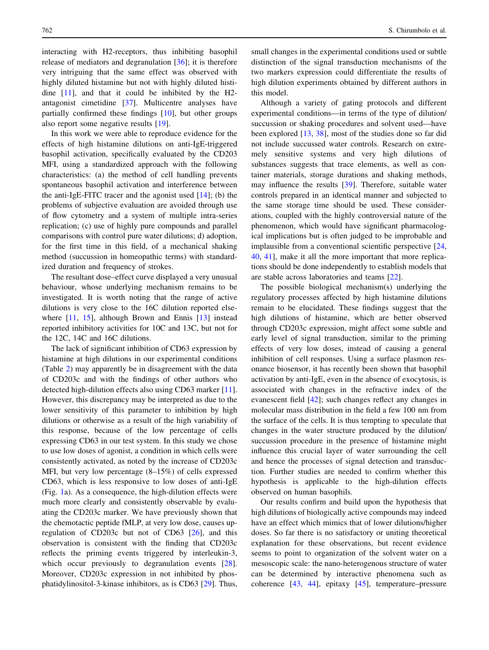interacting with H2-receptors, thus inhibiting basophil release of mediators and degranulation [\[36](#page-9-0)]; it is therefore very intriguing that the same effect was observed with highly diluted histamine but not with highly diluted histidine [[11\]](#page-8-0), and that it could be inhibited by the H2 antagonist cimetidine [\[37](#page-9-0)]. Multicentre analyses have partially confirmed these findings [\[10](#page-8-0)], but other groups also report some negative results [\[19](#page-8-0)].

In this work we were able to reproduce evidence for the effects of high histamine dilutions on anti-IgE-triggered basophil activation, specifically evaluated by the CD203 MFI, using a standardized approach with the following characteristics: (a) the method of cell handling prevents spontaneous basophil activation and interference between the anti-IgE-FITC tracer and the agonist used  $[14]$  $[14]$ ; (b) the problems of subjective evaluation are avoided through use of flow cytometry and a system of multiple intra-series replication; (c) use of highly pure compounds and parallel comparisons with control pure water dilutions; d) adoption, for the first time in this field, of a mechanical shaking method (succussion in homeopathic terms) with standardized duration and frequency of strokes.

The resultant dose–effect curve displayed a very unusual behaviour, whose underlying mechanism remains to be investigated. It is worth noting that the range of active dilutions is very close to the 16C dilution reported else-where [[11](#page-8-0), [15\]](#page-8-0), although Brown and Ennis [[13\]](#page-8-0) instead reported inhibitory activities for 10C and 13C, but not for the 12C, 14C and 16C dilutions.

The lack of significant inhibition of CD63 expression by histamine at high dilutions in our experimental conditions (Table [2](#page-5-0)) may apparently be in disagreement with the data of CD203c and with the findings of other authors who detected high-dilution effects also using CD63 marker [\[11](#page-8-0)]. However, this discrepancy may be interpreted as due to the lower sensitivity of this parameter to inhibition by high dilutions or otherwise as a result of the high variability of this response, because of the low percentage of cells expressing CD63 in our test system. In this study we chose to use low doses of agonist, a condition in which cells were consistently activated, as noted by the increase of CD203c MFI, but very low percentage (8–15%) of cells expressed CD63, which is less responsive to low doses of anti-IgE (Fig. [1](#page-4-0)a). As a consequence, the high-dilution effects were much more clearly and consistently observable by evaluating the CD203c marker. We have previously shown that the chemotactic peptide fMLP, at very low dose, causes upregulation of CD203c but not of CD63 [\[26](#page-8-0)], and this observation is consistent with the finding that CD203c reflects the priming events triggered by interleukin-3, which occur previously to degranulation events [\[28](#page-9-0)]. Moreover, CD203c expression in not inhibited by phosphatidylinositol-3-kinase inhibitors, as is CD63 [\[29](#page-9-0)]. Thus, small changes in the experimental conditions used or subtle distinction of the signal transduction mechanisms of the two markers expression could differentiate the results of high dilution experiments obtained by different authors in this model.

Although a variety of gating protocols and different experimental conditions—in terms of the type of dilution/ succussion or shaking procedures and solvent used—have been explored [\[13](#page-8-0), [38\]](#page-9-0), most of the studies done so far did not include succussed water controls. Research on extremely sensitive systems and very high dilutions of substances suggests that trace elements, as well as container materials, storage durations and shaking methods, may influence the results [[39\]](#page-9-0). Therefore, suitable water controls prepared in an identical manner and subjected to the same storage time should be used. These considerations, coupled with the highly controversial nature of the phenomenon, which would have significant pharmacological implications but is often judged to be improbable and implausible from a conventional scientific perspective [[24,](#page-8-0) [40](#page-9-0), [41\]](#page-9-0), make it all the more important that more replications should be done independently to establish models that are stable across laboratories and teams [\[22](#page-8-0)].

The possible biological mechanism(s) underlying the regulatory processes affected by high histamine dilutions remain to be elucidated. These findings suggest that the high dilutions of histamine, which are better observed through CD203c expression, might affect some subtle and early level of signal transduction, similar to the priming effects of very low doses, instead of causing a general inhibition of cell responses. Using a surface plasmon resonance biosensor, it has recently been shown that basophil activation by anti-IgE, even in the absence of exocytosis, is associated with changes in the refractive index of the evanescent field [[42\]](#page-9-0); such changes reflect any changes in molecular mass distribution in the field a few 100 nm from the surface of the cells. It is thus tempting to speculate that changes in the water structure produced by the dilution/ succussion procedure in the presence of histamine might influence this crucial layer of water surrounding the cell and hence the processes of signal detection and transduction. Further studies are needed to confirm whether this hypothesis is applicable to the high-dilution effects observed on human basophils.

Our results confirm and build upon the hypothesis that high dilutions of biologically active compounds may indeed have an effect which mimics that of lower dilutions/higher doses. So far there is no satisfactory or uniting theoretical explanation for these observations, but recent evidence seems to point to organization of the solvent water on a mesoscopic scale: the nano-heterogenous structure of water can be determined by interactive phenomena such as coherence [\[43](#page-9-0), [44\]](#page-9-0), epitaxy [\[45](#page-9-0)], temperature–pressure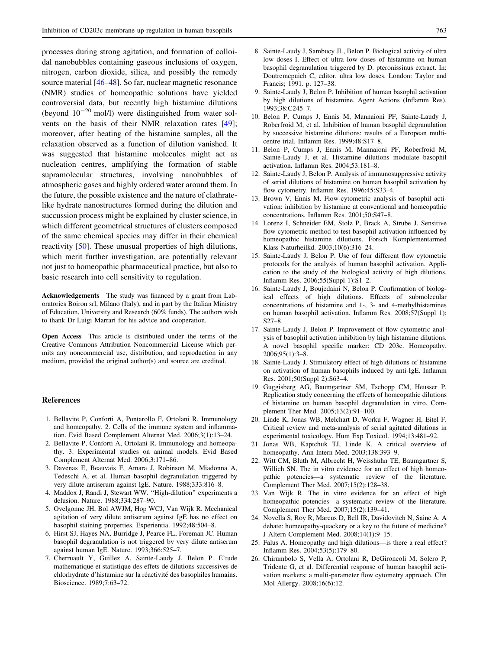<span id="page-8-0"></span>processes during strong agitation, and formation of colloidal nanobubbles containing gaseous inclusions of oxygen, nitrogen, carbon dioxide, silica, and possibly the remedy source material [[46–48](#page-9-0)]. So far, nuclear magnetic resonance (NMR) studies of homeopathic solutions have yielded controversial data, but recently high histamine dilutions (beyond  $10^{-20}$  mol/l) were distinguished from water solvents on the basis of their NMR relaxation rates [\[49](#page-9-0)]; moreover, after heating of the histamine samples, all the relaxation observed as a function of dilution vanished. It was suggested that histamine molecules might act as nucleation centres, amplifying the formation of stable supramolecular structures, involving nanobubbles of atmospheric gases and highly ordered water around them. In the future, the possible existence and the nature of clathratelike hydrate nanostructures formed during the dilution and succussion process might be explained by cluster science, in which different geometrical structures of clusters composed of the same chemical species may differ in their chemical reactivity [\[50\]](#page-9-0). These unusual properties of high dilutions, which merit further investigation, are potentially relevant not just to homeopathic pharmaceutical practice, but also to basic research into cell sensitivity to regulation.

Acknowledgements The study was financed by a grant from Laboratories Boiron srl, Milano (Italy), and in part by the Italian Ministry of Education, University and Research (60% funds). The authors wish to thank Dr Luigi Marrari for his advice and cooperation.

Open Access This article is distributed under the terms of the Creative Commons Attribution Noncommercial License which permits any noncommercial use, distribution, and reproduction in any medium, provided the original author(s) and source are credited.

#### References

- 1. Bellavite P, Conforti A, Pontarollo F, Ortolani R. Immunology and homeopathy. 2. Cells of the immune system and inflammation. Evid Based Complement Alternat Med. 2006;3(1):13–24.
- 2. Bellavite P, Conforti A, Ortolani R. Immunology and homeopathy. 3. Experimental studies on animal models. Evid Based Complement Alternat Med. 2006;3:171–86.
- 3. Davenas E, Beauvais F, Amara J, Robinson M, Miadonna A, Tedeschi A, et al. Human basophil degranulation triggered by very dilute antiserum against IgE. Nature. 1988;333:816–8.
- 4. Maddox J, Randi J, Stewart WW. ''High-dilution'' experiments a delusion. Nature. 1988;334:287–90.
- 5. Ovelgonne JH, Bol AWJM, Hop WCJ, Van Wijk R. Mechanical agitation of very dilute antiserum against IgE has no effect on basophil staining properties. Experientia. 1992;48:504–8.
- 6. Hirst SJ, Hayes NA, Burridge J, Pearce FL, Foreman JC. Human basophil degranulation is not triggered by very dilute antiserum against human IgE. Nature. 1993;366:525–7.
- 7. Cherruault Y, Guillez A, Sainte-Laudy J, Belon P. E'tude mathematique et statistique des effets de dilutions successives de chlorhydrate d'histamine sur la réactivité des basophiles humains. Bioscience. 1989;7:63–72.
- 8. Sainte-Laudy J, Sambucy JL, Belon P. Biological activity of ultra low doses I. Effect of ultra low doses of histamine on human basophil degranulation triggered by D. pteronissinus extract. In: Doutremepuich C, editor. ultra low doses. London: Taylor and Francis; 1991. p. 127–38.
- 9. Sainte-Laudy J, Belon P. Inhibition of human basophil activation by high dilutions of histamine. Agent Actions (Inflamm Res). 1993;38:C245–7.
- 10. Belon P, Cumps J, Ennis M, Mannaioni PF, Sainte-Laudy J, Roberfroid M, et al. Inhibition of human basophil degranulation by successive histamine dilutions: results of a European multicentre trial. Inflamm Res. 1999;48:S17–8.
- 11. Belon P, Cumps J, Ennis M, Mannaioni PF, Roberfroid M, Sainte-Laudy J, et al. Histamine dilutions modulate basophil activation. Inflamm Res. 2004;53:181–8.
- 12. Sainte-Laudy J, Belon P. Analysis of immunosuppressive activity of serial dilutions of histamine on human basophil activation by flow cytometry. Inflamm Res. 1996;45:S33–4.
- 13. Brown V, Ennis M. Flow-cytometric analysis of basophil activation: inhibition by histamine at conventional and homeopathic concentrations. Inflamm Res. 2001;50:S47–8.
- 14. Lorenz I, Schneider EM, Stolz P, Brack A, Strube J. Sensitive flow cytometric method to test basophil activation influenced by homeopathic histamine dilutions. Forsch Komplementarmed Klass Naturheilkd. 2003;10(6):316–24.
- 15. Sainte-Laudy J, Belon P. Use of four different flow cytometric protocols for the analysis of human basophil activation. Application to the study of the biological activity of high dilutions. Inflamm Res. 2006;55(Suppl 1):S1–2.
- 16. Sainte-Laudy J, Boujedaini N, Belon P. Confirmation of biological effects of high dilutions. Effects of submolecular concentrations of histamine and 1-, 3- and 4-methylhistamines on human basophil activation. Inflamm Res. 2008;57(Suppl 1):  $S27–8.$
- 17. Sainte-Laudy J, Belon P. Improvement of flow cytometric analysis of basophil activation inhibition by high histamine dilutions. A novel basophil specific marker: CD 203c. Homeopathy. 2006;95(1):3–8.
- 18. Sainte-Laudy J. Stimulatory effect of high dilutions of histamine on activation of human basophils induced by anti-IgE. Inflamm Res. 2001;50(Suppl 2):S63–4.
- 19. Guggisberg AG, Baumgartner SM, Tschopp CM, Heusser P. Replication study concerning the effects of homeopathic dilutions of histamine on human basophil degranulation in vitro. Complement Ther Med. 2005;13(2):91–100.
- 20. Linde K, Jonas WB, Melchart D, Worku F, Wagner H, Eitel F. Critical review and meta-analysis of serial agitated dilutions in experimental toxicology. Hum Exp Toxicol. 1994;13:481–92.
- 21. Jonas WB, Kaptchuk TJ, Linde K. A critical overview of homeopathy. Ann Intern Med. 2003;138:393–9.
- 22. Witt CM, Bluth M, Albrecht H, Weisshuhn TE, Baumgartner S, Willich SN. The in vitro evidence for an effect of high homeopathic potencies—a systematic review of the literature. Complement Ther Med. 2007;15(2):128–38.
- 23. Van Wijk R. The in vitro evidence for an effect of high homeopathic potencies—a systematic review of the literature. Complement Ther Med. 2007;15(2):139–41.
- 24. Novella S, Roy R, Marcus D, Bell IR, Davidovitch N, Saine A. A debate: homeopathy-quackery or a key to the future of medicine? J Altern Complement Med. 2008;14(1):9–15.
- 25. Falus A. Homeopathy and high dilutions—is there a real effect? Inflamm Res. 2004;53(5):179–80.
- 26. Chirumbolo S, Vella A, Ortolani R, DeGironcoli M, Solero P, Tridente G, et al. Differential response of human basophil activation markers: a multi-parameter flow cytometry approach. Clin Mol Allergy. 2008;16(6):12.